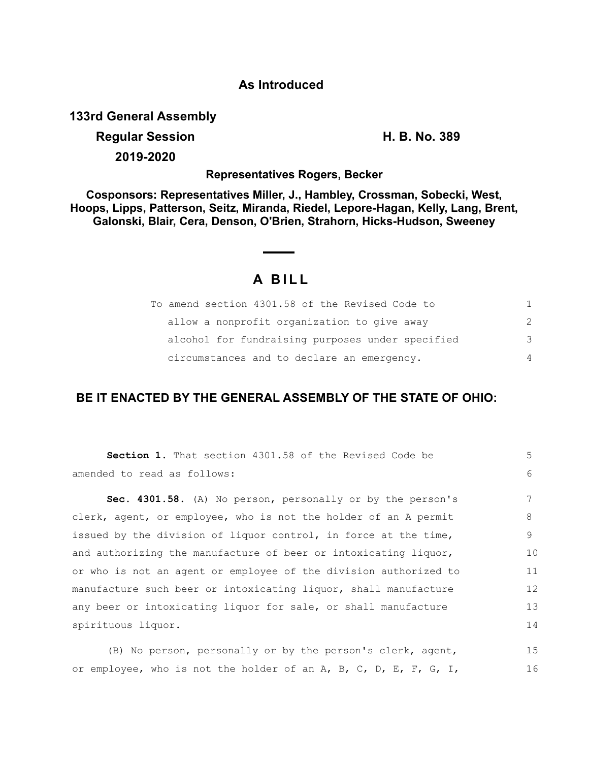#### **As Introduced**

**133rd General Assembly**

# **Regular Session H. B. No. 389**

**2019-2020**

#### **Representatives Rogers, Becker**

**Cosponsors: Representatives Miller, J., Hambley, Crossman, Sobecki, West, Hoops, Lipps, Patterson, Seitz, Miranda, Riedel, Lepore-Hagan, Kelly, Lang, Brent, Galonski, Blair, Cera, Denson, O'Brien, Strahorn, Hicks-Hudson, Sweeney**

## **A BILL**

| To amend section 4301.58 of the Revised Code to  |               |
|--------------------------------------------------|---------------|
| allow a nonprofit organization to give away      | $\mathcal{P}$ |
| alcohol for fundraising purposes under specified | $\mathcal{B}$ |
| circumstances and to declare an emergency.       | 4             |

### **BE IT ENACTED BY THE GENERAL ASSEMBLY OF THE STATE OF OHIO:**

| <b>Section 1.</b> That section 4301.58 of the Revised Code be    | .5 |
|------------------------------------------------------------------|----|
| amended to read as follows:                                      | 6  |
| Sec. 4301.58. (A) No person, personally or by the person's       | 7  |
| clerk, agent, or employee, who is not the holder of an A permit  | 8  |
| issued by the division of liquor control, in force at the time,  | 9  |
| and authorizing the manufacture of beer or intoxicating liquor,  | 10 |
| or who is not an agent or employee of the division authorized to | 11 |
| manufacture such beer or intoxicating liquor, shall manufacture  | 12 |
| any beer or intoxicating liquor for sale, or shall manufacture   | 13 |
| spirituous liquor.                                               | 14 |
|                                                                  |    |

(B) No person, personally or by the person's clerk, agent, or employee, who is not the holder of an A, B, C, D, E, F, G, I, 15 16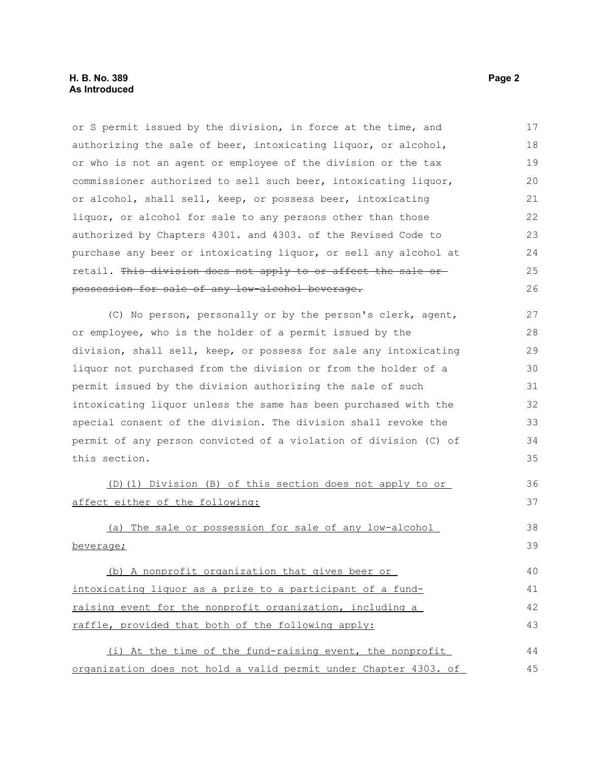or S permit issued by the division, in force at the time, and authorizing the sale of beer, intoxicating liquor, or alcohol, or who is not an agent or employee of the division or the tax commissioner authorized to sell such beer, intoxicating liquor, or alcohol, shall sell, keep, or possess beer, intoxicating liquor, or alcohol for sale to any persons other than those authorized by Chapters 4301. and 4303. of the Revised Code to purchase any beer or intoxicating liquor, or sell any alcohol at retail. This division does not apply to or affect the sale or possession for sale of any low-alcohol beverage. 17 18 19 20 21 22 23 24 25 26

(C) No person, personally or by the person's clerk, agent, or employee, who is the holder of a permit issued by the division, shall sell, keep, or possess for sale any intoxicating liquor not purchased from the division or from the holder of a permit issued by the division authorizing the sale of such intoxicating liquor unless the same has been purchased with the special consent of the division. The division shall revoke the permit of any person convicted of a violation of division (C) of this section. 27 28 29 30 31 32 33 34 35

 (D)(1) Division (B) of this section does not apply to or affect either of the following:

 (a) The sale or possession for sale of any low-alcohol beverage; 38 39

 (b) A nonprofit organization that gives beer or intoxicating liquor as a prize to a participant of a fund raising event for the nonprofit organization, including a raffle, provided that both of the following apply: 40 41 42 43

 (i) At the time of the fund-raising event, the nonprofit organization does not hold a valid permit under Chapter 4303. of 44 45

36 37